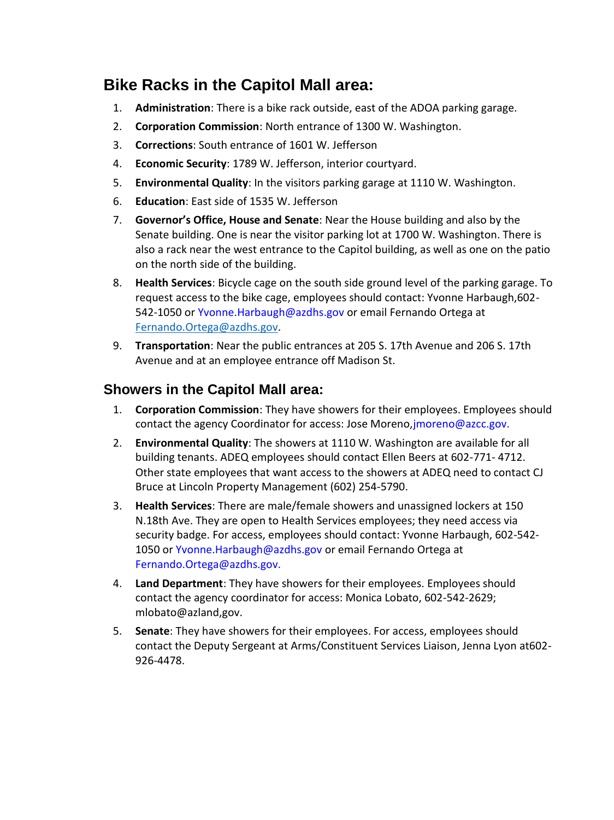## **Bike Racks in the Capitol Mall area:**

- 1. **Administration**: There is a bike rack outside, east of the ADOA parking garage.
- 2. **Corporation Commission**: North entrance of 1300 W. Washington.
- 3. **Corrections**: South entrance of 1601 W. Jefferson
- 4. **Economic Security**: 1789 W. Jefferson, interior courtyard.
- 5. **Environmental Quality**: In the visitors parking garage at 1110 W. Washington.
- 6. **Education**: East side of 1535 W. Jefferson
- 7. **Governor's Office, House and Senate**: Near the House building and also by the Senate building. One is near the visitor parking lot at 1700 W. Washington. There is also a rack near the west entrance to the Capitol building, as well as one on the patio on the north side of the building.
- 8. **Health Services**: Bicycle cage on the south side ground level of the parking garage. To request access to the bike cage, employees should contact: Yvonne Harbaugh,602- 542-1050 or Yvonne.Harbaugh@azdhs.gov or email Fernando Ortega at [Fernando.Ortega@azdhs.gov.](mailto:Fernando.Ortega@azdhs.gov)
- 9. **Transportation**: Near the public entrances at 205 S. 17th Avenue and 206 S. 17th Avenue and at an employee entrance off Madison St.

## **Showers in the Capitol Mall area:**

- 1. **Corporation Commission**: They have showers for their employees. Employees should contact the agency Coordinator for access: Jose Moreno, jmoreno@azcc.gov.
- 2. **Environmental Quality**: The showers at 1110 W. Washington are available for all building tenants. ADEQ employees should contact Ellen Beers at 602-771- 4712. Other state employees that want access to the showers at ADEQ need to contact CJ Bruce at Lincoln Property Management (602) 254-5790.
- 3. **Health Services**: There are male/female showers and unassigned lockers at 150 N.18th Ave. They are open to Health Services employees; they need access via security badge. For access, employees should contact: Yvonne Harbaugh, 602-542- 1050 or Yvonne. Harbaugh@azdhs.gov or email Fernando Ortega at Fernando.Ortega@azdhs.gov.
- 4. **Land Department**: They have showers for their employees. Employees should contact the agency coordinator for access: Monica Lobato, 602-542-2629; mlobato@azland,gov.
- 5. **Senate**: They have showers for their employees. For access, employees should contact the Deputy Sergeant at Arms/Constituent Services Liaison, Jenna Lyon at602- 926-4478.